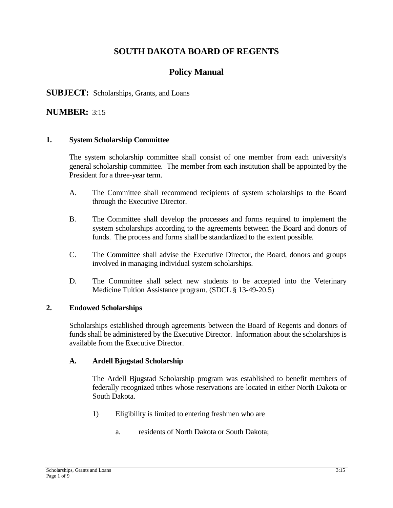# **SOUTH DAKOTA BOARD OF REGENTS**

# **Policy Manual**

## **SUBJECT:** Scholarships, Grants, and Loans

## **NUMBER:** 3:15

#### **1. System Scholarship Committee**

The system scholarship committee shall consist of one member from each university's general scholarship committee. The member from each institution shall be appointed by the President for a three-year term.

- A. The Committee shall recommend recipients of system scholarships to the Board through the Executive Director.
- B. The Committee shall develop the processes and forms required to implement the system scholarships according to the agreements between the Board and donors of funds. The process and forms shall be standardized to the extent possible.
- C. The Committee shall advise the Executive Director, the Board, donors and groups involved in managing individual system scholarships.
- D. The Committee shall select new students to be accepted into the Veterinary Medicine Tuition Assistance program. (SDCL § 13-49-20.5)

#### **2. Endowed Scholarships**

Scholarships established through agreements between the Board of Regents and donors of funds shall be administered by the Executive Director. Information about the scholarships is available from the Executive Director.

#### **A. Ardell Bjugstad Scholarship**

The Ardell Bjugstad Scholarship program was established to benefit members of federally recognized tribes whose reservations are located in either North Dakota or South Dakota.

- 1) Eligibility is limited to entering freshmen who are
	- a. residents of North Dakota or South Dakota;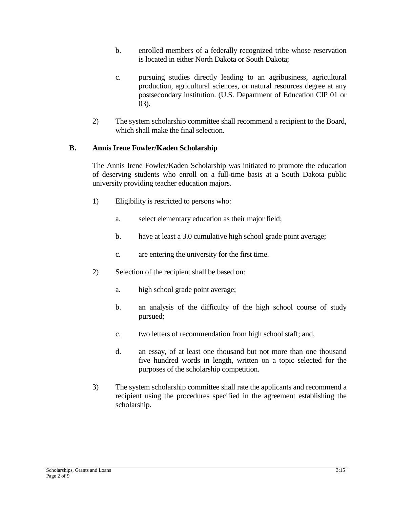- b. enrolled members of a federally recognized tribe whose reservation is located in either North Dakota or South Dakota;
- c. pursuing studies directly leading to an agribusiness, agricultural production, agricultural sciences, or natural resources degree at any postsecondary institution. (U.S. Department of Education CIP 01 or 03).
- 2) The system scholarship committee shall recommend a recipient to the Board, which shall make the final selection.

#### **B. Annis Irene Fowler/Kaden Scholarship**

The Annis Irene Fowler/Kaden Scholarship was initiated to promote the education of deserving students who enroll on a full-time basis at a South Dakota public university providing teacher education majors.

- 1) Eligibility is restricted to persons who:
	- a. select elementary education as their major field;
	- b. have at least a 3.0 cumulative high school grade point average;
	- c. are entering the university for the first time.
- 2) Selection of the recipient shall be based on:
	- a. high school grade point average;
	- b. an analysis of the difficulty of the high school course of study pursued;
	- c. two letters of recommendation from high school staff; and,
	- d. an essay, of at least one thousand but not more than one thousand five hundred words in length, written on a topic selected for the purposes of the scholarship competition.
- 3) The system scholarship committee shall rate the applicants and recommend a recipient using the procedures specified in the agreement establishing the scholarship.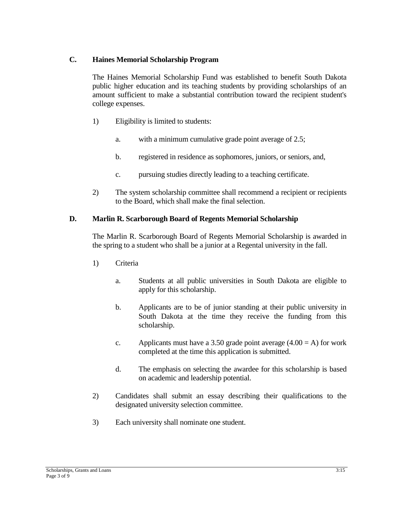## **C. Haines Memorial Scholarship Program**

The Haines Memorial Scholarship Fund was established to benefit South Dakota public higher education and its teaching students by providing scholarships of an amount sufficient to make a substantial contribution toward the recipient student's college expenses.

- 1) Eligibility is limited to students:
	- a. with a minimum cumulative grade point average of 2.5;
	- b. registered in residence as sophomores, juniors, or seniors, and,
	- c. pursuing studies directly leading to a teaching certificate.
- 2) The system scholarship committee shall recommend a recipient or recipients to the Board, which shall make the final selection.

#### **D. Marlin R. Scarborough Board of Regents Memorial Scholarship**

The Marlin R. Scarborough Board of Regents Memorial Scholarship is awarded in the spring to a student who shall be a junior at a Regental university in the fall.

- 1) Criteria
	- a. Students at all public universities in South Dakota are eligible to apply for this scholarship.
	- b. Applicants are to be of junior standing at their public university in South Dakota at the time they receive the funding from this scholarship.
	- c. Applicants must have a 3.50 grade point average  $(4.00 = A)$  for work completed at the time this application is submitted.
	- d. The emphasis on selecting the awardee for this scholarship is based on academic and leadership potential.
- 2) Candidates shall submit an essay describing their qualifications to the designated university selection committee.
- 3) Each university shall nominate one student.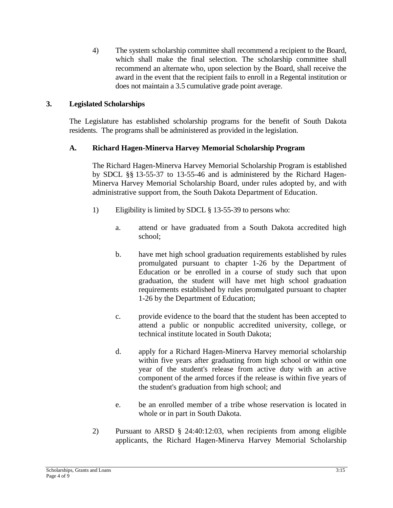4) The system scholarship committee shall recommend a recipient to the Board, which shall make the final selection. The scholarship committee shall recommend an alternate who, upon selection by the Board, shall receive the award in the event that the recipient fails to enroll in a Regental institution or does not maintain a 3.5 cumulative grade point average.

## **3. Legislated Scholarships**

The Legislature has established scholarship programs for the benefit of South Dakota residents. The programs shall be administered as provided in the legislation.

## **A. Richard Hagen-Minerva Harvey Memorial Scholarship Program**

The Richard Hagen-Minerva Harvey Memorial Scholarship Program is established by SDCL §§ 13-55-37 to 13-55-46 and is administered by the Richard Hagen-Minerva Harvey Memorial Scholarship Board, under rules adopted by, and with administrative support from, the South Dakota Department of Education.

- 1) Eligibility is limited by SDCL § 13-55-39 to persons who:
	- a. attend or have graduated from a South Dakota accredited high school;
	- b. have met high school graduation requirements established by rules promulgated pursuant to chapter 1-26 by the Department of Education or be enrolled in a course of study such that upon graduation, the student will have met high school graduation requirements established by rules promulgated pursuant to chapter 1-26 by the Department of Education;
	- c. provide evidence to the board that the student has been accepted to attend a public or nonpublic accredited university, college, or technical institute located in South Dakota;
	- d. apply for a Richard Hagen-Minerva Harvey memorial scholarship within five years after graduating from high school or within one year of the student's release from active duty with an active component of the armed forces if the release is within five years of the student's graduation from high school; and
	- e. be an enrolled member of a tribe whose reservation is located in whole or in part in South Dakota.
- 2) Pursuant to ARSD § 24:40:12:03, when recipients from among eligible applicants, the Richard Hagen-Minerva Harvey Memorial Scholarship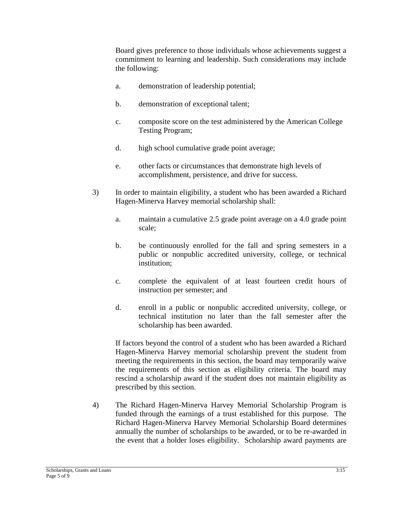Board gives preference to those individuals whose achievements suggest a commitment to learning and leadership. Such considerations may include the following:

- a. demonstration of leadership potential;
- b. demonstration of exceptional talent;
- c. composite score on the test administered by the American College Testing Program;
- d. high school cumulative grade point average;
- e. other facts or circumstances that demonstrate high levels of accomplishment, persistence, and drive for success.
- 3) In order to maintain eligibility, a student who has been awarded a Richard Hagen-Minerva Harvey memorial scholarship shall:
	- a. maintain a cumulative 2.5 grade point average on a 4.0 grade point scale;
	- b. be continuously enrolled for the fall and spring semesters in a public or nonpublic accredited university, college, or technical institution;
	- c. complete the equivalent of at least fourteen credit hours of instruction per semester; and
	- d. enroll in a public or nonpublic accredited university, college, or technical institution no later than the fall semester after the scholarship has been awarded.

If factors beyond the control of a student who has been awarded a Richard Hagen-Minerva Harvey memorial scholarship prevent the student from meeting the requirements in this section, the board may temporarily waive the requirements of this section as eligibility criteria. The board may rescind a scholarship award if the student does not maintain eligibility as prescribed by this section.

4) The Richard Hagen-Minerva Harvey Memorial Scholarship Program is funded through the earnings of a trust established for this purpose. The Richard Hagen-Minerva Harvey Memorial Scholarship Board determines annually the number of scholarships to be awarded, or to be re-awarded in the event that a holder loses eligibility. Scholarship award payments are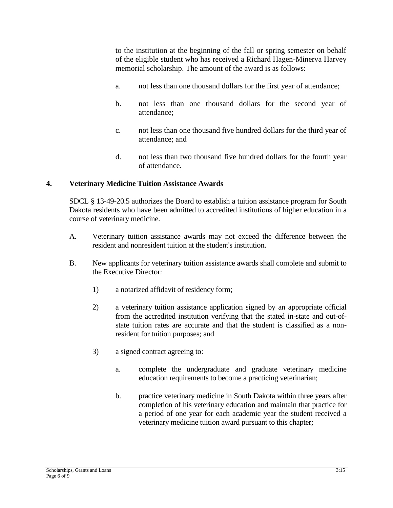to the institution at the beginning of the fall or spring semester on behalf of the eligible student who has received a Richard Hagen-Minerva Harvey memorial scholarship. The amount of the award is as follows:

- a. not less than one thousand dollars for the first year of attendance;
- b. not less than one thousand dollars for the second year of attendance;
- c. not less than one thousand five hundred dollars for the third year of attendance; and
- d. not less than two thousand five hundred dollars for the fourth year of attendance.

#### **4. Veterinary Medicine Tuition Assistance Awards**

SDCL § 13-49-20.5 authorizes the Board to establish a tuition assistance program for South Dakota residents who have been admitted to accredited institutions of higher education in a course of veterinary medicine.

- A. Veterinary tuition assistance awards may not exceed the difference between the resident and nonresident tuition at the student's institution.
- B. New applicants for veterinary tuition assistance awards shall complete and submit to the Executive Director:
	- 1) a notarized affidavit of residency form;
	- 2) a veterinary tuition assistance application signed by an appropriate official from the accredited institution verifying that the stated in-state and out-ofstate tuition rates are accurate and that the student is classified as a nonresident for tuition purposes; and
	- 3) a signed contract agreeing to:
		- a. complete the undergraduate and graduate veterinary medicine education requirements to become a practicing veterinarian;
		- b. practice veterinary medicine in South Dakota within three years after completion of his veterinary education and maintain that practice for a period of one year for each academic year the student received a veterinary medicine tuition award pursuant to this chapter;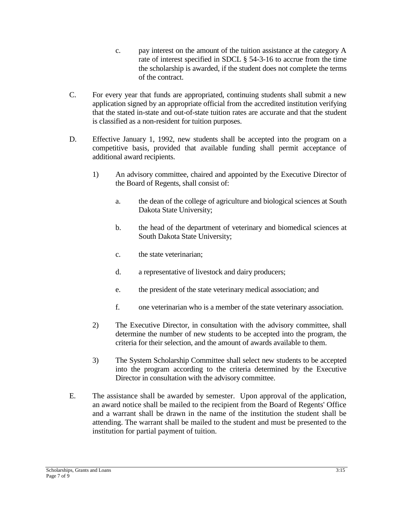- c. pay interest on the amount of the tuition assistance at the category A rate of interest specified in SDCL § 54-3-16 to accrue from the time the scholarship is awarded, if the student does not complete the terms of the contract.
- C. For every year that funds are appropriated, continuing students shall submit a new application signed by an appropriate official from the accredited institution verifying that the stated in-state and out-of-state tuition rates are accurate and that the student is classified as a non-resident for tuition purposes.
- D. Effective January 1, 1992, new students shall be accepted into the program on a competitive basis, provided that available funding shall permit acceptance of additional award recipients.
	- 1) An advisory committee, chaired and appointed by the Executive Director of the Board of Regents, shall consist of:
		- a. the dean of the college of agriculture and biological sciences at South Dakota State University;
		- b. the head of the department of veterinary and biomedical sciences at South Dakota State University;
		- c. the state veterinarian;
		- d. a representative of livestock and dairy producers;
		- e. the president of the state veterinary medical association; and
		- f. one veterinarian who is a member of the state veterinary association.
	- 2) The Executive Director, in consultation with the advisory committee, shall determine the number of new students to be accepted into the program, the criteria for their selection, and the amount of awards available to them.
	- 3) The System Scholarship Committee shall select new students to be accepted into the program according to the criteria determined by the Executive Director in consultation with the advisory committee.
- E. The assistance shall be awarded by semester. Upon approval of the application, an award notice shall be mailed to the recipient from the Board of Regents' Office and a warrant shall be drawn in the name of the institution the student shall be attending. The warrant shall be mailed to the student and must be presented to the institution for partial payment of tuition.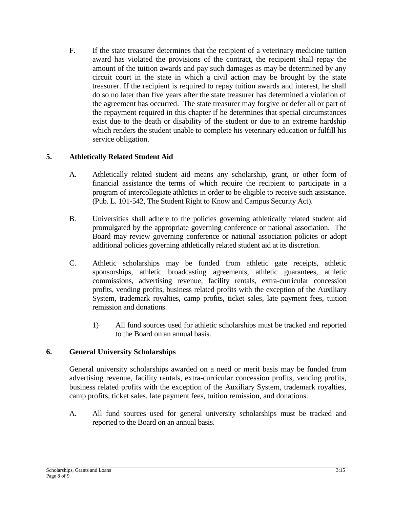F. If the state treasurer determines that the recipient of a veterinary medicine tuition award has violated the provisions of the contract, the recipient shall repay the amount of the tuition awards and pay such damages as may be determined by any circuit court in the state in which a civil action may be brought by the state treasurer. If the recipient is required to repay tuition awards and interest, he shall do so no later than five years after the state treasurer has determined a violation of the agreement has occurred. The state treasurer may forgive or defer all or part of the repayment required in this chapter if he determines that special circumstances exist due to the death or disability of the student or due to an extreme hardship which renders the student unable to complete his veterinary education or fulfill his service obligation.

## **5. Athletically Related Student Aid**

- A. Athletically related student aid means any scholarship, grant, or other form of financial assistance the terms of which require the recipient to participate in a program of intercollegiate athletics in order to be eligible to receive such assistance. (Pub. L. 101-542, The Student Right to Know and Campus Security Act).
- B. Universities shall adhere to the policies governing athletically related student aid promulgated by the appropriate governing conference or national association. The Board may review governing conference or national association policies or adopt additional policies governing athletically related student aid at its discretion.
- C. Athletic scholarships may be funded from athletic gate receipts, athletic sponsorships, athletic broadcasting agreements, athletic guarantees, athletic commissions, advertising revenue, facility rentals, extra-curricular concession profits, vending profits, business related profits with the exception of the Auxiliary System, trademark royalties, camp profits, ticket sales, late payment fees, tuition remission and donations.
	- 1) All fund sources used for athletic scholarships must be tracked and reported to the Board on an annual basis.

## **6. General University Scholarships**

General university scholarships awarded on a need or merit basis may be funded from advertising revenue, facility rentals, extra-curricular concession profits, vending profits, business related profits with the exception of the Auxiliary System, trademark royalties, camp profits, ticket sales, late payment fees, tuition remission, and donations.

A. All fund sources used for general university scholarships must be tracked and reported to the Board on an annual basis.